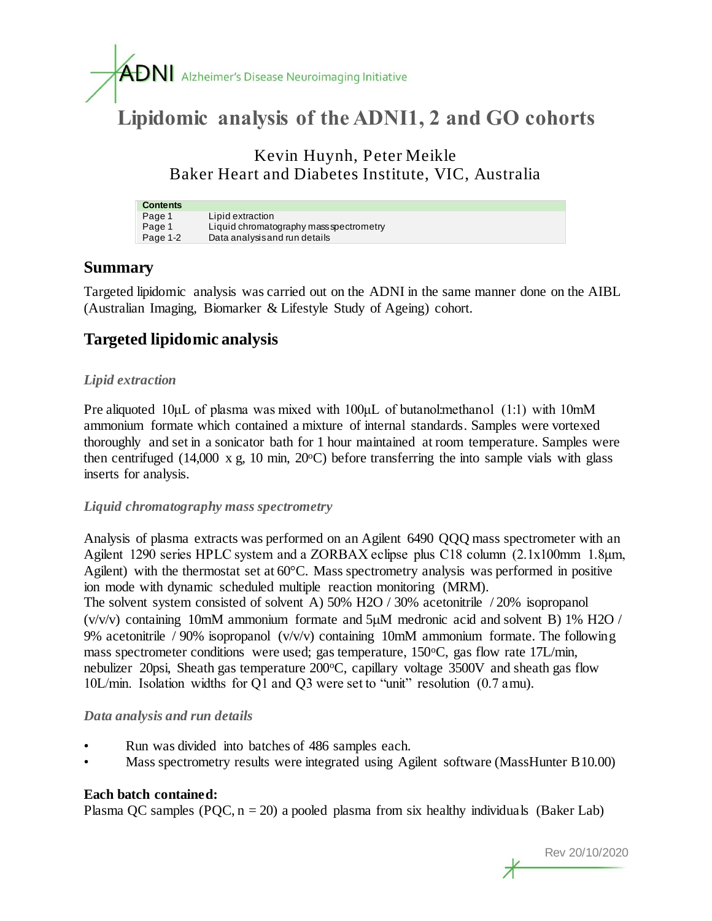

# **Lipidomic analysis of the ADNI1, 2 and GO cohorts**

Kevin Huynh, Peter Meikle Baker Heart and Diabetes Institute, VIC, Australia

| <b>Contents</b> |                                         |
|-----------------|-----------------------------------------|
| Page 1          | Lipid extraction                        |
| Page 1          | Liquid chromatography mass spectrometry |
| Page 1-2        | Data analysis and run details           |

## **Summary**

Targeted lipidomic analysis was carried out on the ADNI in the same manner done on the AIBL (Australian Imaging, Biomarker & Lifestyle Study of Ageing) cohort.

# **Targeted lipidomic analysis**

#### *Lipid extraction*

Pre aliquoted 10μL of plasma was mixed with 100μL of butanol:methanol (1:1) with 10mM ammonium formate which contained a mixture of internal standards. Samples were vortexed thoroughly and set in a sonicator bath for 1 hour maintained at room temperature. Samples were then centrifuged (14,000 x g, 10 min,  $20^{\circ}$ C) before transferring the into sample vials with glass inserts for analysis.

#### *Liquid chromatography mass spectrometry*

Analysis of plasma extracts was performed on an Agilent 6490 QQQ mass spectrometer with an Agilent 1290 series HPLC system and a ZORBAX eclipse plus C18 column (2.1x100mm 1.8μm, Agilent) with the thermostat set at 60°C. Mass spectrometry analysis was performed in positive ion mode with dynamic scheduled multiple reaction monitoring (MRM).

The solvent system consisted of solvent A) 50% H2O / 30% acetonitrile / 20% isopropanol ( $v/v/v$ ) containing 10mM ammonium formate and 5 $\mu$ M medronic acid and solvent B) 1% H2O / 9% acetonitrile / 90% isopropanol  $(v/v/v)$  containing 10mM ammonium formate. The following mass spectrometer conditions were used; gas temperature,  $150^{\circ}$ C, gas flow rate  $17$ L/min, nebulizer 20psi, Sheath gas temperature 200 °C, capillary voltage 3500V and sheath gas flow 10L/min. Isolation widths for Q1 and Q3 were set to "unit" resolution (0.7 amu).

#### *Data analysis and run details*

- Run was divided into batches of 486 samples each.
- Mass spectrometry results were integrated using Agilent software (MassHunter B10.00)

#### **Each batch contained:**

Plasma QC samples (PQC,  $n = 20$ ) a pooled plasma from six healthy individuals (Baker Lab)